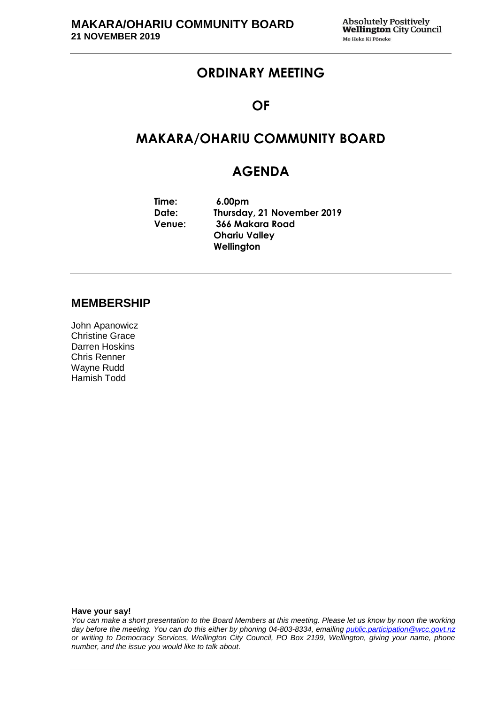## **ORDINARY MEETING**

#### **OF**

## **MAKARA/OHARIU COMMUNITY BOARD**

## **AGENDA**

**Time: Date: Venue: 6.00pm Thursday, 21 November 2019 366 Makara Road Ohariu Valley Wellington** 

#### **MEMBERSHIP**

John Apanowicz Christine Grace Darren Hoskins Chris Renner Wayne Rudd Hamish Todd

**Have your say!**

*You can make a short presentation to the Board Members at this meeting. Please let us know by noon the working day before the meeting. You can do this either by phoning 04-803-8334, emailing public.participation@wcc.govt.nz or writing to Democracy Services, Wellington City Council, PO Box 2199, Wellington, giving your name, phone number, and the issue you would like to talk about.*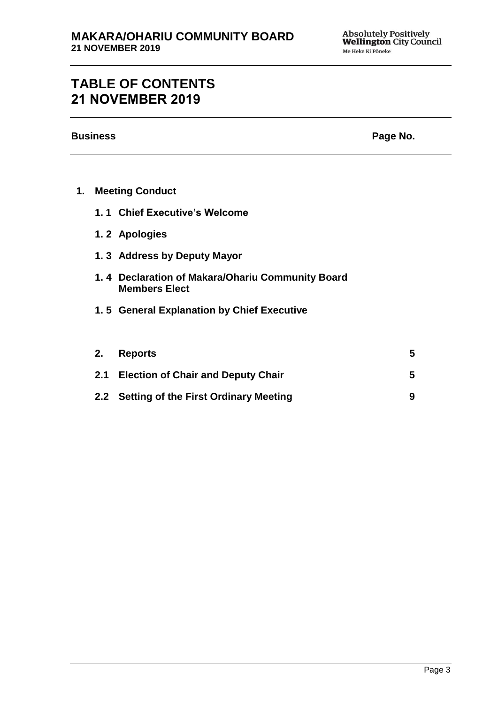# **TABLE OF CONTENTS 21 NOVEMBER 2019**

**Business** Page No.

| 1. |  | <b>Meeting Conduct</b> |
|----|--|------------------------|
|----|--|------------------------|

- **1. 1 Chief Executive's Welcome**
- **1. 2 Apologies**
- **1. 3 Address by Deputy Mayor**
- **1. 4 Declaration of Makara/Ohariu Community Board Members Elect**
- **1. 5 General Explanation by Chief Executive**

| 2. Reports                                | 5. |
|-------------------------------------------|----|
| 2.1 Election of Chair and Deputy Chair    | 5. |
| 2.2 Setting of the First Ordinary Meeting |    |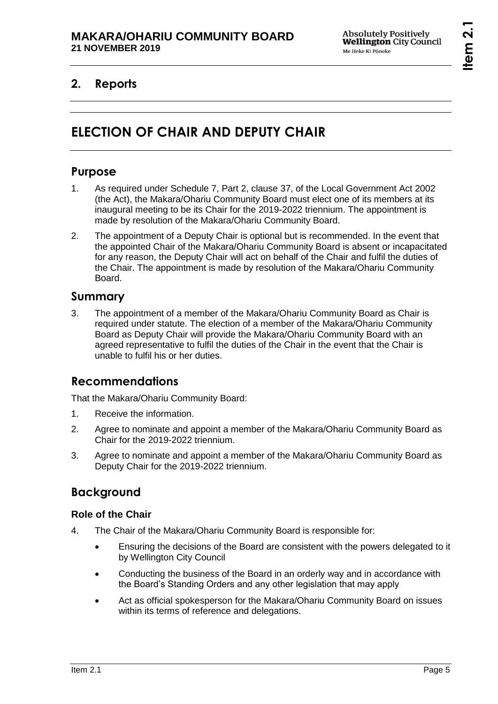## **2. Reports**

# **ELECTION OF CHAIR AND DEPUTY CHAIR**

## **Purpose**

- 1. As required under Schedule 7, Part 2, clause 37, of the Local Government Act 2002 (the Act), the Makara/Ohariu Community Board must elect one of its members at its inaugural meeting to be its Chair for the 2019-2022 triennium. The appointment is made by resolution of the Makara/Ohariu Community Board.
- 2. The appointment of a Deputy Chair is optional but is recommended. In the event that the appointed Chair of the Makara/Ohariu Community Board is absent or incapacitated for any reason, the Deputy Chair will act on behalf of the Chair and fulfil the duties of the Chair. The appointment is made by resolution of the Makara/Ohariu Community Board.

#### **Summary**

3. The appointment of a member of the Makara/Ohariu Community Board as Chair is required under statute. The election of a member of the Makara/Ohariu Community Board as Deputy Chair will provide the Makara/Ohariu Community Board with an agreed representative to fulfil the duties of the Chair in the event that the Chair is unable to fulfil his or her duties.

## **Recommendations**

That the Makara/Ohariu Community Board:

- 1. Receive the information.
- 2. Agree to nominate and appoint a member of the Makara/Ohariu Community Board as Chair for the 2019-2022 triennium.
- 3. Agree to nominate and appoint a member of the Makara/Ohariu Community Board as Deputy Chair for the 2019-2022 triennium.

## **Background**

#### **Role of the Chair**

- 4. The Chair of the Makara/Ohariu Community Board is responsible for:
	- Ensuring the decisions of the Board are consistent with the powers delegated to it by Wellington City Council
	- Conducting the business of the Board in an orderly way and in accordance with the Board's Standing Orders and any other legislation that may apply
	- Act as official spokesperson for the Makara/Ohariu Community Board on issues within its terms of reference and delegations.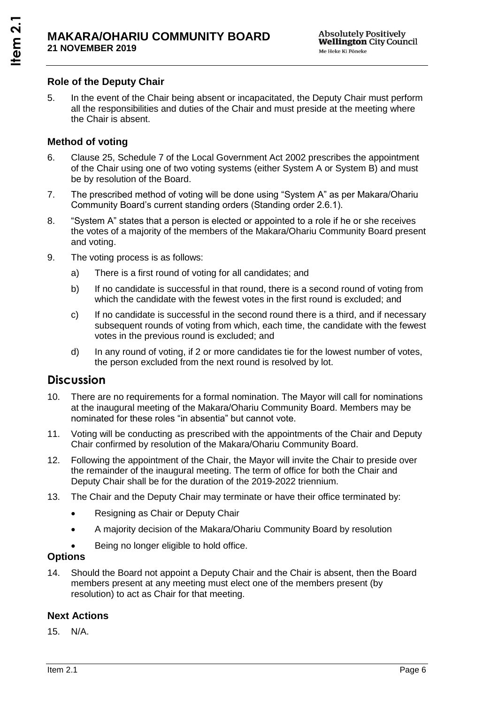#### **Role of the Deputy Chair**

5. In the event of the Chair being absent or incapacitated, the Deputy Chair must perform all the responsibilities and duties of the Chair and must preside at the meeting where the Chair is absent.

#### **Method of voting**

- 6. Clause 25, Schedule 7 of the Local Government Act 2002 prescribes the appointment of the Chair using one of two voting systems (either System A or System B) and must be by resolution of the Board.
- 7. The prescribed method of voting will be done using "System A" as per Makara/Ohariu Community Board's current standing orders (Standing order 2.6.1).
- 8. "System A" states that a person is elected or appointed to a role if he or she receives the votes of a majority of the members of the Makara/Ohariu Community Board present and voting.
- 9. The voting process is as follows:
	- a) There is a first round of voting for all candidates; and
	- b) If no candidate is successful in that round, there is a second round of voting from which the candidate with the fewest votes in the first round is excluded; and
	- c) If no candidate is successful in the second round there is a third, and if necessary subsequent rounds of voting from which, each time, the candidate with the fewest votes in the previous round is excluded; and
	- d) In any round of voting, if 2 or more candidates tie for the lowest number of votes, the person excluded from the next round is resolved by lot.

#### **Discussion**

- 10. There are no requirements for a formal nomination. The Mayor will call for nominations at the inaugural meeting of the Makara/Ohariu Community Board. Members may be nominated for these roles "in absentia" but cannot vote.
- 11. Voting will be conducting as prescribed with the appointments of the Chair and Deputy Chair confirmed by resolution of the Makara/Ohariu Community Board.
- 12. Following the appointment of the Chair, the Mayor will invite the Chair to preside over the remainder of the inaugural meeting. The term of office for both the Chair and Deputy Chair shall be for the duration of the 2019-2022 triennium.
- 13. The Chair and the Deputy Chair may terminate or have their office terminated by:
	- Resigning as Chair or Deputy Chair
	- A majority decision of the Makara/Ohariu Community Board by resolution
	- Being no longer eligible to hold office.

#### **Options**

14. Should the Board not appoint a Deputy Chair and the Chair is absent, then the Board members present at any meeting must elect one of the members present (by resolution) to act as Chair for that meeting.

#### **Next Actions**

15. N/A.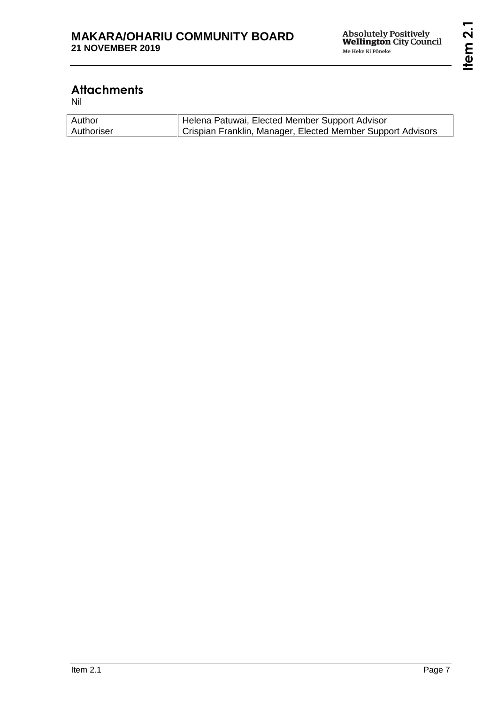# **Attachments**

Nil

| Author     | Helena Patuwai, Elected Member Support Advisor              |
|------------|-------------------------------------------------------------|
| Authoriser | Crispian Franklin, Manager, Elected Member Support Advisors |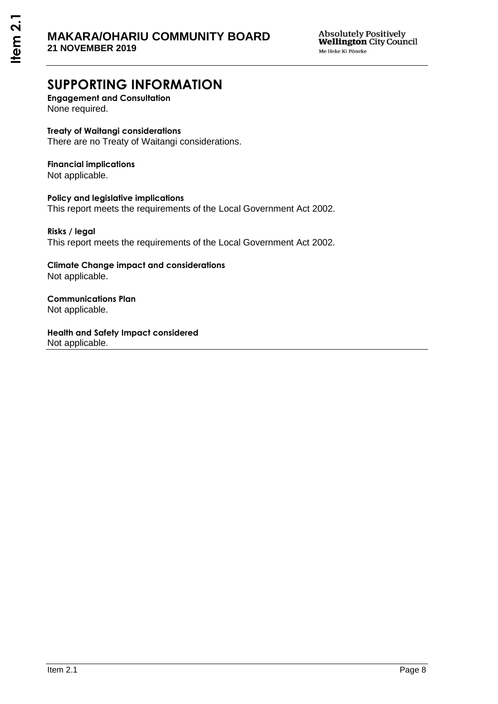## **SUPPORTING INFORMATION**

**Engagement and Consultation**  None required.

#### **Treaty of Waitangi considerations**

There are no Treaty of Waitangi considerations.

## **Financial implications**

Not applicable.

**Policy and legislative implications**  This report meets the requirements of the Local Government Act 2002.

#### **Risks / legal**  This report meets the requirements of the Local Government Act 2002.

**Climate Change impact and considerations**  Not applicable.

**Communications Plan**  Not applicable.

**Health and Safety Impact considered**  Not applicable.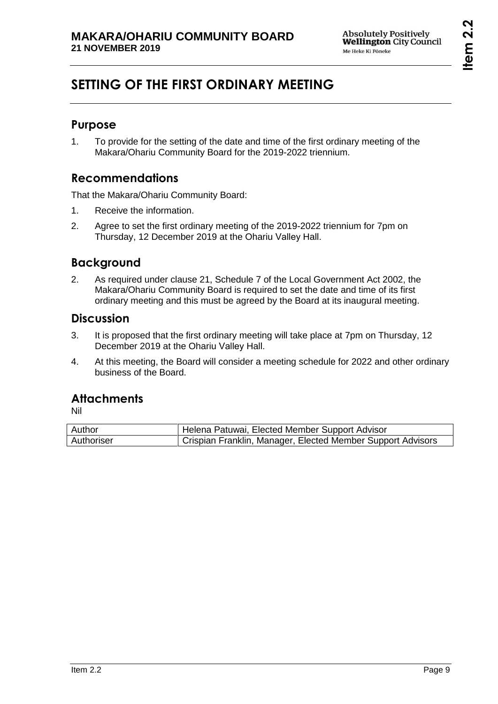# **Item 2.2**

# **SETTING OF THE FIRST ORDINARY MEETING**

## **Purpose**

1. To provide for the setting of the date and time of the first ordinary meeting of the Makara/Ohariu Community Board for the 2019-2022 triennium.

## **Recommendations**

That the Makara/Ohariu Community Board:

- 1. Receive the information.
- 2. Agree to set the first ordinary meeting of the 2019-2022 triennium for 7pm on Thursday, 12 December 2019 at the Ohariu Valley Hall.

## **Background**

2. As required under clause 21, Schedule 7 of the Local Government Act 2002, the Makara/Ohariu Community Board is required to set the date and time of its first ordinary meeting and this must be agreed by the Board at its inaugural meeting.

### **Discussion**

- 3. It is proposed that the first ordinary meeting will take place at 7pm on Thursday, 12 December 2019 at the Ohariu Valley Hall.
- 4. At this meeting, the Board will consider a meeting schedule for 2022 and other ordinary business of the Board.

## **Attachments**

Nil

| Author     | Helena Patuwai, Elected Member Support Advisor              |
|------------|-------------------------------------------------------------|
| Authoriser | Crispian Franklin, Manager, Elected Member Support Advisors |